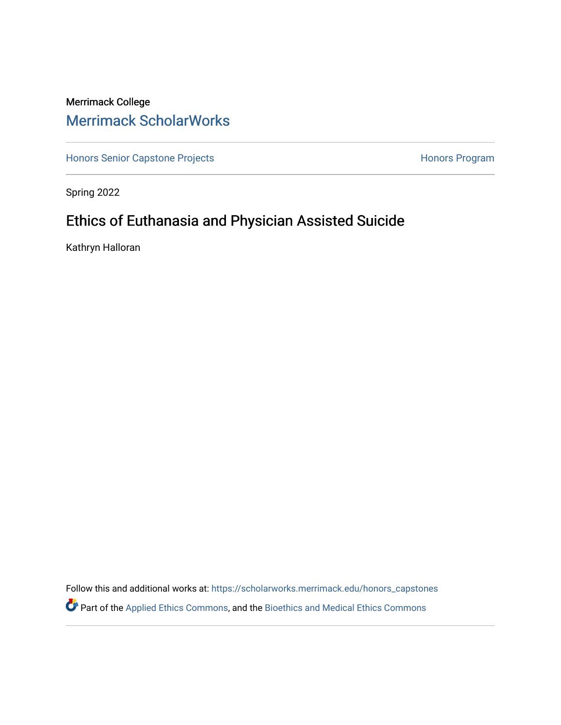# Merrimack College [Merrimack ScholarWorks](https://scholarworks.merrimack.edu/)

[Honors Senior Capstone Projects](https://scholarworks.merrimack.edu/honors_capstones) **Honors Program** Honors Program

Spring 2022

# Ethics of Euthanasia and Physician Assisted Suicide

Kathryn Halloran

Follow this and additional works at: [https://scholarworks.merrimack.edu/honors\\_capstones](https://scholarworks.merrimack.edu/honors_capstones?utm_source=scholarworks.merrimack.edu%2Fhonors_capstones%2F62&utm_medium=PDF&utm_campaign=PDFCoverPages) Part of the [Applied Ethics Commons](http://network.bepress.com/hgg/discipline/1392?utm_source=scholarworks.merrimack.edu%2Fhonors_capstones%2F62&utm_medium=PDF&utm_campaign=PDFCoverPages), and the [Bioethics and Medical Ethics Commons](http://network.bepress.com/hgg/discipline/650?utm_source=scholarworks.merrimack.edu%2Fhonors_capstones%2F62&utm_medium=PDF&utm_campaign=PDFCoverPages)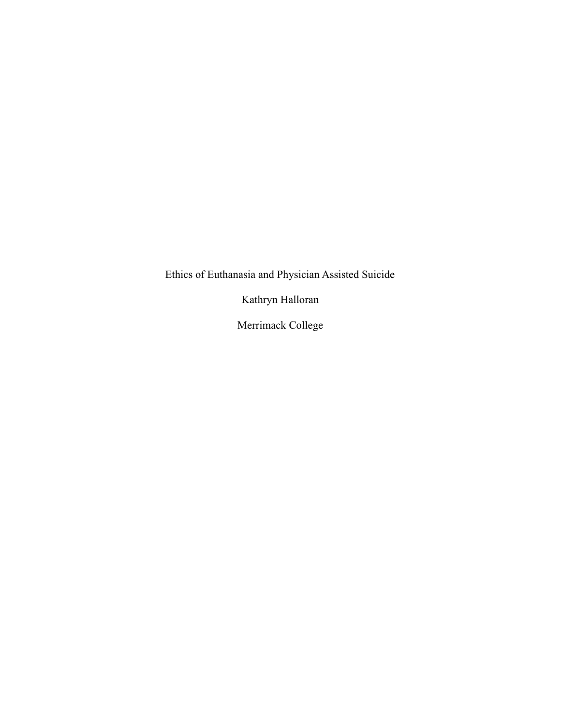Ethics of Euthanasia and Physician Assisted Suicide

Kathryn Halloran

Merrimack College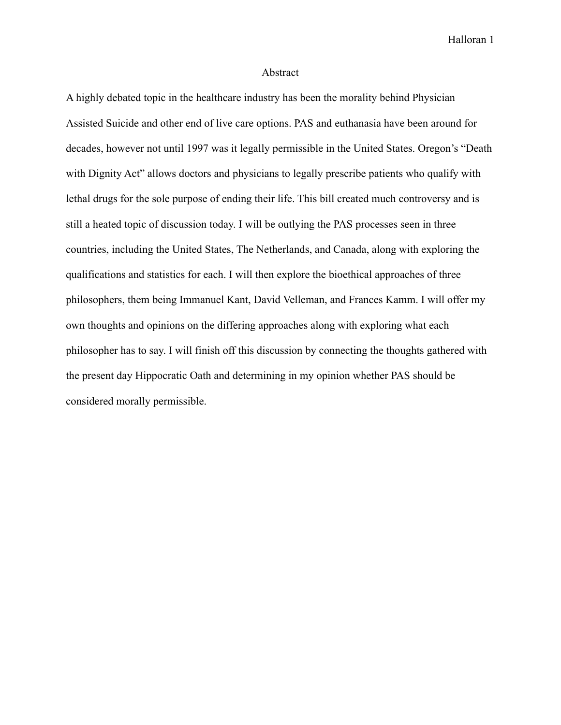#### Abstract

A highly debated topic in the healthcare industry has been the morality behind Physician Assisted Suicide and other end of live care options. PAS and euthanasia have been around for decades, however not until 1997 was it legally permissible in the United States. Oregon's "Death with Dignity Act" allows doctors and physicians to legally prescribe patients who qualify with lethal drugs for the sole purpose of ending their life. This bill created much controversy and is still a heated topic of discussion today. I will be outlying the PAS processes seen in three countries, including the United States, The Netherlands, and Canada, along with exploring the qualifications and statistics for each. I will then explore the bioethical approaches of three philosophers, them being Immanuel Kant, David Velleman, and Frances Kamm. I will offer my own thoughts and opinions on the differing approaches along with exploring what each philosopher has to say. I will finish off this discussion by connecting the thoughts gathered with the present day Hippocratic Oath and determining in my opinion whether PAS should be considered morally permissible.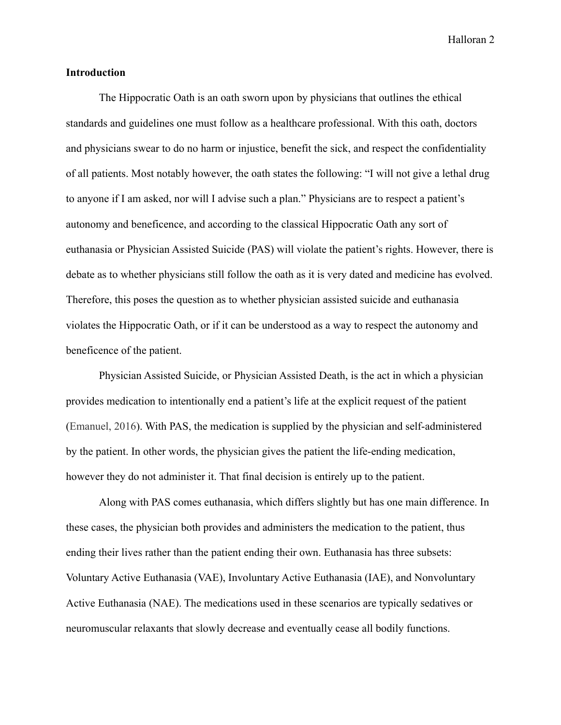# **Introduction**

The Hippocratic Oath is an oath sworn upon by physicians that outlines the ethical standards and guidelines one must follow as a healthcare professional. With this oath, doctors and physicians swear to do no harm or injustice, benefit the sick, and respect the confidentiality of all patients. Most notably however, the oath states the following: "I will not give a lethal drug to anyone if I am asked, nor will I advise such a plan." Physicians are to respect a patient's autonomy and beneficence, and according to the classical Hippocratic Oath any sort of euthanasia or Physician Assisted Suicide (PAS) will violate the patient's rights. However, there is debate as to whether physicians still follow the oath as it is very dated and medicine has evolved. Therefore, this poses the question as to whether physician assisted suicide and euthanasia violates the Hippocratic Oath, or if it can be understood as a way to respect the autonomy and beneficence of the patient.

Physician Assisted Suicide, or Physician Assisted Death, is the act in which a physician provides medication to intentionally end a patient's life at the explicit request of the patient (Emanuel, 2016). With PAS, the medication is supplied by the physician and self-administered by the patient. In other words, the physician gives the patient the life-ending medication, however they do not administer it. That final decision is entirely up to the patient.

Along with PAS comes euthanasia, which differs slightly but has one main difference. In these cases, the physician both provides and administers the medication to the patient, thus ending their lives rather than the patient ending their own. Euthanasia has three subsets: Voluntary Active Euthanasia (VAE), Involuntary Active Euthanasia (IAE), and Nonvoluntary Active Euthanasia (NAE). The medications used in these scenarios are typically sedatives or neuromuscular relaxants that slowly decrease and eventually cease all bodily functions.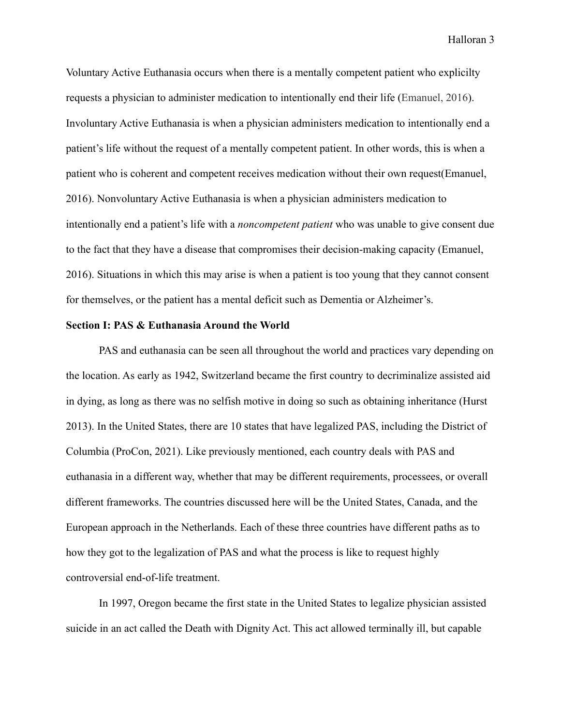Voluntary Active Euthanasia occurs when there is a mentally competent patient who explicilty requests a physician to administer medication to intentionally end their life (Emanuel, 2016). Involuntary Active Euthanasia is when a physician administers medication to intentionally end a patient's life without the request of a mentally competent patient. In other words, this is when a patient who is coherent and competent receives medication without their own request(Emanuel, 2016). Nonvoluntary Active Euthanasia is when a physician administers medication to intentionally end a patient's life with a *noncompetent patient* who was unable to give consent due to the fact that they have a disease that compromises their decision-making capacity (Emanuel, 2016). Situations in which this may arise is when a patient is too young that they cannot consent for themselves, or the patient has a mental deficit such as Dementia or Alzheimer's.

#### **Section I: PAS & Euthanasia Around the World**

PAS and euthanasia can be seen all throughout the world and practices vary depending on the location. As early as 1942, Switzerland became the first country to decriminalize assisted aid in dying, as long as there was no selfish motive in doing so such as obtaining inheritance (Hurst 2013). In the United States, there are 10 states that have legalized PAS, including the District of Columbia (ProCon, 2021). Like previously mentioned, each country deals with PAS and euthanasia in a different way, whether that may be different requirements, processees, or overall different frameworks. The countries discussed here will be the United States, Canada, and the European approach in the Netherlands. Each of these three countries have different paths as to how they got to the legalization of PAS and what the process is like to request highly controversial end-of-life treatment.

In 1997, Oregon became the first state in the United States to legalize physician assisted suicide in an act called the Death with Dignity Act. This act allowed terminally ill, but capable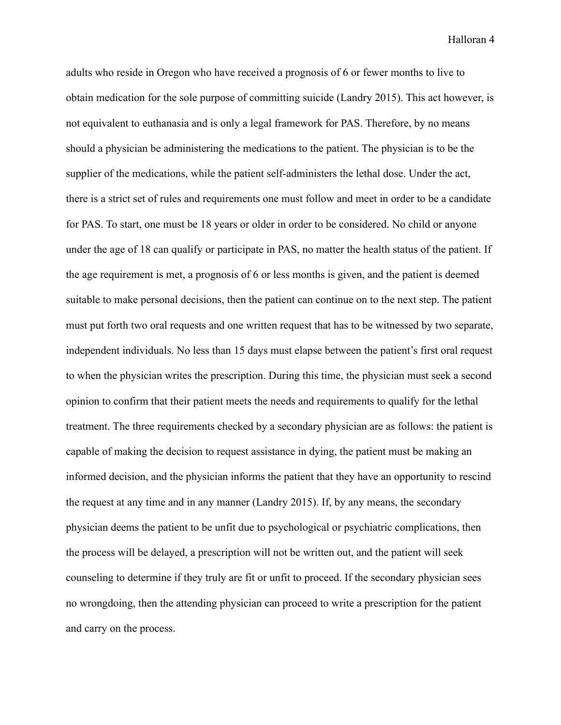adults who reside in Oregon who have received a prognosis of 6 or fewer months to live to obtain medication for the sole purpose of committing suicide (Landry 2015). This act however, is not equivalent to euthanasia and is only a legal framework for PAS. Therefore, by no means should a physician be administering the medications to the patient. The physician is to be the supplier of the medications, while the patient self-administers the lethal dose. Under the act, there is a strict set of rules and requirements one must follow and meet in order to be a candidate for PAS. To start, one must be 18 years or older in order to be considered. No child or anyone under the age of 18 can qualify or participate in PAS, no matter the health status of the patient. If the age requirement is met, a prognosis of 6 or less months is given, and the patient is deemed suitable to make personal decisions, then the patient can continue on to the next step. The patient must put forth two oral requests and one written request that has to be witnessed by two separate, independent individuals. No less than 15 days must elapse between the patient's first oral request to when the physician writes the prescription. During this time, the physician must seek a second opinion to confirm that their patient meets the needs and requirements to qualify for the lethal treatment. The three requirements checked by a secondary physician are as follows: the patient is capable of making the decision to request assistance in dying, the patient must be making an informed decision, and the physician informs the patient that they have an opportunity to rescind the request at any time and in any manner (Landry 2015). If, by any means, the secondary physician deems the patient to be unfit due to psychological or psychiatric complications, then the process will be delayed, a prescription will not be written out, and the patient will seek counseling to determine if they truly are fit or unfit to proceed. If the secondary physician sees no wrongdoing, then the attending physician can proceed to write a prescription for the patient and carry on the process.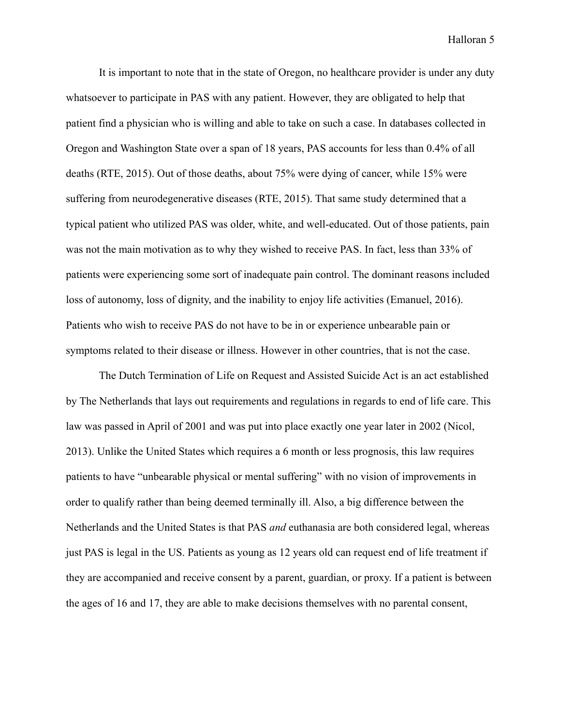It is important to note that in the state of Oregon, no healthcare provider is under any duty whatsoever to participate in PAS with any patient. However, they are obligated to help that patient find a physician who is willing and able to take on such a case. In databases collected in Oregon and Washington State over a span of 18 years, PAS accounts for less than 0.4% of all deaths (RTE, 2015). Out of those deaths, about 75% were dying of cancer, while 15% were suffering from neurodegenerative diseases (RTE, 2015). That same study determined that a typical patient who utilized PAS was older, white, and well-educated. Out of those patients, pain was not the main motivation as to why they wished to receive PAS. In fact, less than 33% of patients were experiencing some sort of inadequate pain control. The dominant reasons included loss of autonomy, loss of dignity, and the inability to enjoy life activities (Emanuel, 2016). Patients who wish to receive PAS do not have to be in or experience unbearable pain or symptoms related to their disease or illness. However in other countries, that is not the case.

The Dutch Termination of Life on Request and Assisted Suicide Act is an act established by The Netherlands that lays out requirements and regulations in regards to end of life care. This law was passed in April of 2001 and was put into place exactly one year later in 2002 (Nicol, 2013). Unlike the United States which requires a 6 month or less prognosis, this law requires patients to have "unbearable physical or mental suffering" with no vision of improvements in order to qualify rather than being deemed terminally ill. Also, a big difference between the Netherlands and the United States is that PAS *and* euthanasia are both considered legal, whereas just PAS is legal in the US. Patients as young as 12 years old can request end of life treatment if they are accompanied and receive consent by a parent, guardian, or proxy. If a patient is between the ages of 16 and 17, they are able to make decisions themselves with no parental consent,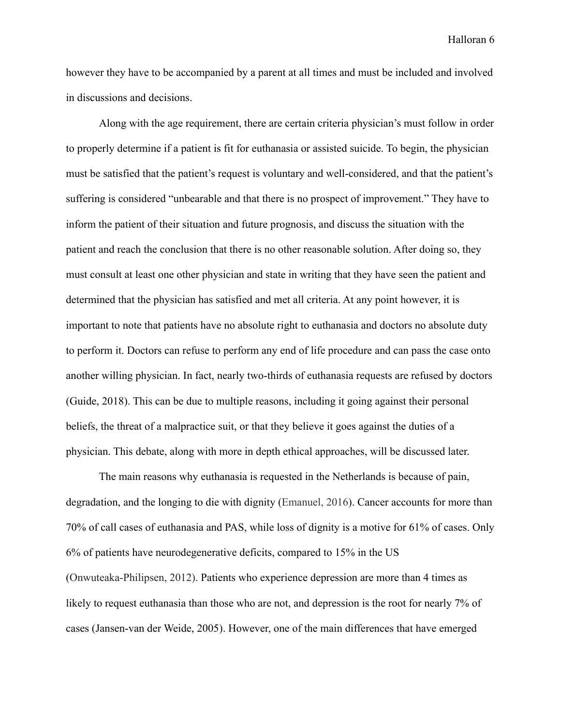however they have to be accompanied by a parent at all times and must be included and involved in discussions and decisions.

Along with the age requirement, there are certain criteria physician's must follow in order to properly determine if a patient is fit for euthanasia or assisted suicide. To begin, the physician must be satisfied that the patient's request is voluntary and well-considered, and that the patient's suffering is considered "unbearable and that there is no prospect of improvement." They have to inform the patient of their situation and future prognosis, and discuss the situation with the patient and reach the conclusion that there is no other reasonable solution. After doing so, they must consult at least one other physician and state in writing that they have seen the patient and determined that the physician has satisfied and met all criteria. At any point however, it is important to note that patients have no absolute right to euthanasia and doctors no absolute duty to perform it. Doctors can refuse to perform any end of life procedure and can pass the case onto another willing physician. In fact, nearly two-thirds of euthanasia requests are refused by doctors (Guide, 2018). This can be due to multiple reasons, including it going against their personal beliefs, the threat of a malpractice suit, or that they believe it goes against the duties of a physician. This debate, along with more in depth ethical approaches, will be discussed later.

The main reasons why euthanasia is requested in the Netherlands is because of pain, degradation, and the longing to die with dignity (Emanuel, 2016). Cancer accounts for more than 70% of call cases of euthanasia and PAS, while loss of dignity is a motive for 61% of cases. Only 6% of patients have neurodegenerative deficits, compared to 15% in the US (Onwuteaka-Philipsen, 2012). Patients who experience depression are more than 4 times as likely to request euthanasia than those who are not, and depression is the root for nearly 7% of cases (Jansen-van der Weide, 2005). However, one of the main differences that have emerged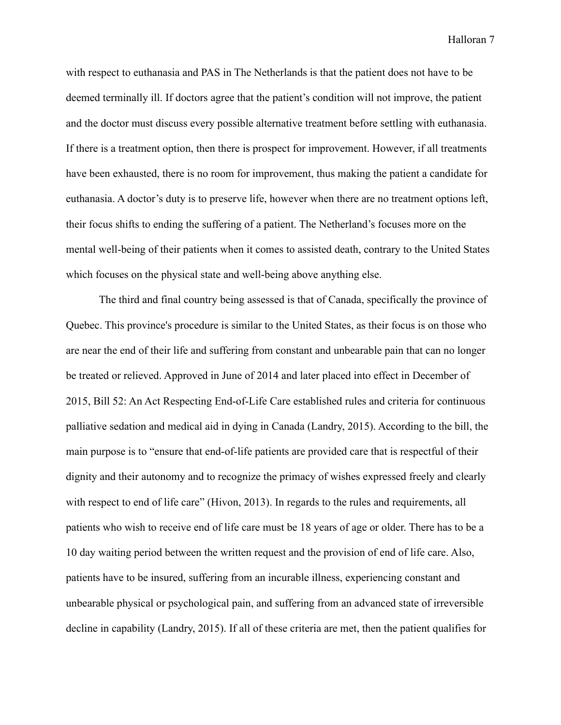with respect to euthanasia and PAS in The Netherlands is that the patient does not have to be deemed terminally ill. If doctors agree that the patient's condition will not improve, the patient and the doctor must discuss every possible alternative treatment before settling with euthanasia. If there is a treatment option, then there is prospect for improvement. However, if all treatments have been exhausted, there is no room for improvement, thus making the patient a candidate for euthanasia. A doctor's duty is to preserve life, however when there are no treatment options left, their focus shifts to ending the suffering of a patient. The Netherland's focuses more on the mental well-being of their patients when it comes to assisted death, contrary to the United States which focuses on the physical state and well-being above anything else.

The third and final country being assessed is that of Canada, specifically the province of Quebec. This province's procedure is similar to the United States, as their focus is on those who are near the end of their life and suffering from constant and unbearable pain that can no longer be treated or relieved. Approved in June of 2014 and later placed into effect in December of 2015, Bill 52: An Act Respecting End-of-Life Care established rules and criteria for continuous palliative sedation and medical aid in dying in Canada (Landry, 2015). According to the bill, the main purpose is to "ensure that end-of-life patients are provided care that is respectful of their dignity and their autonomy and to recognize the primacy of wishes expressed freely and clearly with respect to end of life care" (Hivon, 2013). In regards to the rules and requirements, all patients who wish to receive end of life care must be 18 years of age or older. There has to be a 10 day waiting period between the written request and the provision of end of life care. Also, patients have to be insured, suffering from an incurable illness, experiencing constant and unbearable physical or psychological pain, and suffering from an advanced state of irreversible decline in capability (Landry, 2015). If all of these criteria are met, then the patient qualifies for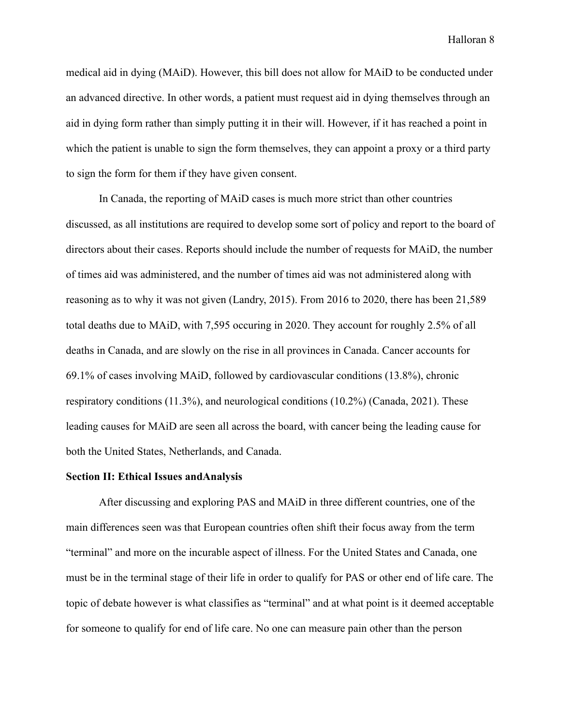medical aid in dying (MAiD). However, this bill does not allow for MAiD to be conducted under an advanced directive. In other words, a patient must request aid in dying themselves through an aid in dying form rather than simply putting it in their will. However, if it has reached a point in which the patient is unable to sign the form themselves, they can appoint a proxy or a third party to sign the form for them if they have given consent.

In Canada, the reporting of MAiD cases is much more strict than other countries discussed, as all institutions are required to develop some sort of policy and report to the board of directors about their cases. Reports should include the number of requests for MAiD, the number of times aid was administered, and the number of times aid was not administered along with reasoning as to why it was not given (Landry, 2015). From 2016 to 2020, there has been 21,589 total deaths due to MAiD, with 7,595 occuring in 2020. They account for roughly 2.5% of all deaths in Canada, and are slowly on the rise in all provinces in Canada. Cancer accounts for 69.1% of cases involving MAiD, followed by cardiovascular conditions (13.8%), chronic respiratory conditions (11.3%), and neurological conditions (10.2%) (Canada, 2021). These leading causes for MAiD are seen all across the board, with cancer being the leading cause for both the United States, Netherlands, and Canada.

## **Section II: Ethical Issues andAnalysis**

After discussing and exploring PAS and MAiD in three different countries, one of the main differences seen was that European countries often shift their focus away from the term "terminal" and more on the incurable aspect of illness. For the United States and Canada, one must be in the terminal stage of their life in order to qualify for PAS or other end of life care. The topic of debate however is what classifies as "terminal" and at what point is it deemed acceptable for someone to qualify for end of life care. No one can measure pain other than the person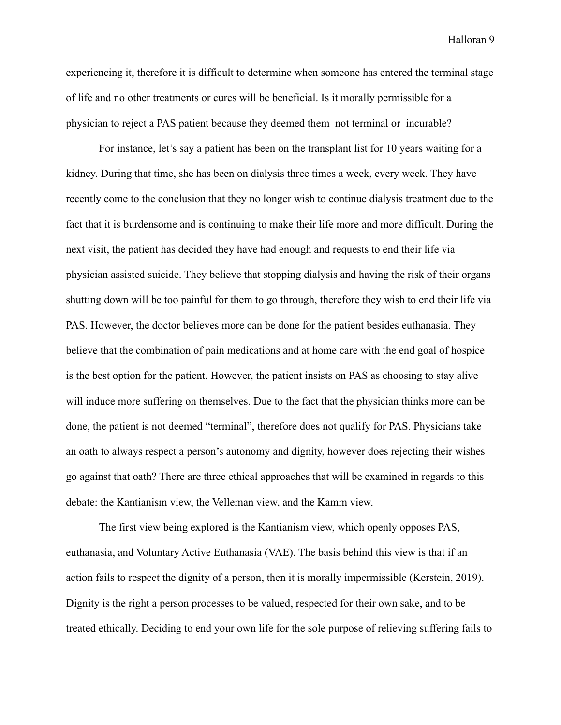experiencing it, therefore it is difficult to determine when someone has entered the terminal stage of life and no other treatments or cures will be beneficial. Is it morally permissible for a physician to reject a PAS patient because they deemed them not terminal or incurable?

For instance, let's say a patient has been on the transplant list for 10 years waiting for a kidney. During that time, she has been on dialysis three times a week, every week. They have recently come to the conclusion that they no longer wish to continue dialysis treatment due to the fact that it is burdensome and is continuing to make their life more and more difficult. During the next visit, the patient has decided they have had enough and requests to end their life via physician assisted suicide. They believe that stopping dialysis and having the risk of their organs shutting down will be too painful for them to go through, therefore they wish to end their life via PAS. However, the doctor believes more can be done for the patient besides euthanasia. They believe that the combination of pain medications and at home care with the end goal of hospice is the best option for the patient. However, the patient insists on PAS as choosing to stay alive will induce more suffering on themselves. Due to the fact that the physician thinks more can be done, the patient is not deemed "terminal", therefore does not qualify for PAS. Physicians take an oath to always respect a person's autonomy and dignity, however does rejecting their wishes go against that oath? There are three ethical approaches that will be examined in regards to this debate: the Kantianism view, the Velleman view, and the Kamm view.

The first view being explored is the Kantianism view, which openly opposes PAS, euthanasia, and Voluntary Active Euthanasia (VAE). The basis behind this view is that if an action fails to respect the dignity of a person, then it is morally impermissible (Kerstein, 2019). Dignity is the right a person processes to be valued, respected for their own sake, and to be treated ethically. Deciding to end your own life for the sole purpose of relieving suffering fails to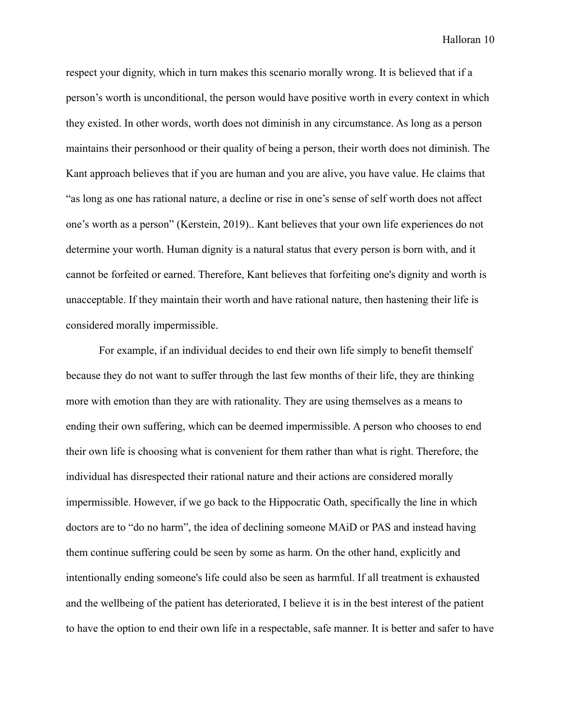respect your dignity, which in turn makes this scenario morally wrong. It is believed that if a person's worth is unconditional, the person would have positive worth in every context in which they existed. In other words, worth does not diminish in any circumstance. As long as a person maintains their personhood or their quality of being a person, their worth does not diminish. The Kant approach believes that if you are human and you are alive, you have value. He claims that "as long as one has rational nature, a decline or rise in one's sense of self worth does not affect one's worth as a person" (Kerstein, 2019).. Kant believes that your own life experiences do not determine your worth. Human dignity is a natural status that every person is born with, and it cannot be forfeited or earned. Therefore, Kant believes that forfeiting one's dignity and worth is unacceptable. If they maintain their worth and have rational nature, then hastening their life is considered morally impermissible.

For example, if an individual decides to end their own life simply to benefit themself because they do not want to suffer through the last few months of their life, they are thinking more with emotion than they are with rationality. They are using themselves as a means to ending their own suffering, which can be deemed impermissible. A person who chooses to end their own life is choosing what is convenient for them rather than what is right. Therefore, the individual has disrespected their rational nature and their actions are considered morally impermissible. However, if we go back to the Hippocratic Oath, specifically the line in which doctors are to "do no harm", the idea of declining someone MAiD or PAS and instead having them continue suffering could be seen by some as harm. On the other hand, explicitly and intentionally ending someone's life could also be seen as harmful. If all treatment is exhausted and the wellbeing of the patient has deteriorated, I believe it is in the best interest of the patient to have the option to end their own life in a respectable, safe manner. It is better and safer to have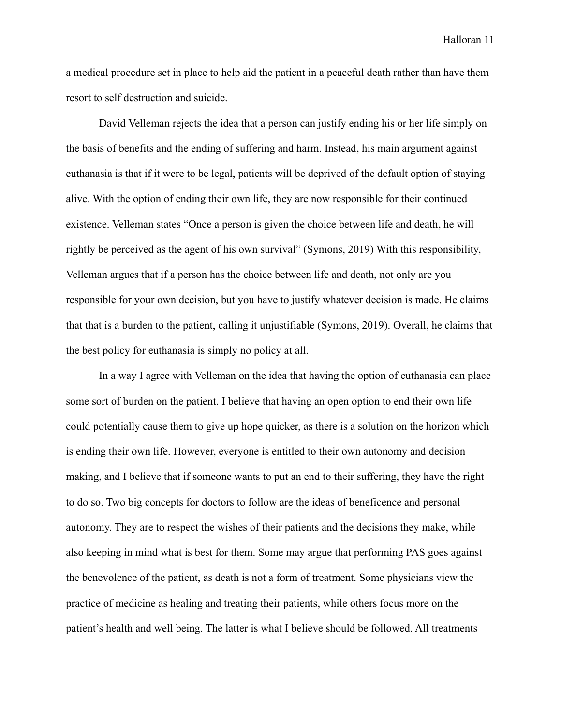a medical procedure set in place to help aid the patient in a peaceful death rather than have them resort to self destruction and suicide.

David Velleman rejects the idea that a person can justify ending his or her life simply on the basis of benefits and the ending of suffering and harm. Instead, his main argument against euthanasia is that if it were to be legal, patients will be deprived of the default option of staying alive. With the option of ending their own life, they are now responsible for their continued existence. Velleman states "Once a person is given the choice between life and death, he will rightly be perceived as the agent of his own survival" (Symons, 2019) With this responsibility, Velleman argues that if a person has the choice between life and death, not only are you responsible for your own decision, but you have to justify whatever decision is made. He claims that that is a burden to the patient, calling it unjustifiable (Symons, 2019). Overall, he claims that the best policy for euthanasia is simply no policy at all.

In a way I agree with Velleman on the idea that having the option of euthanasia can place some sort of burden on the patient. I believe that having an open option to end their own life could potentially cause them to give up hope quicker, as there is a solution on the horizon which is ending their own life. However, everyone is entitled to their own autonomy and decision making, and I believe that if someone wants to put an end to their suffering, they have the right to do so. Two big concepts for doctors to follow are the ideas of beneficence and personal autonomy. They are to respect the wishes of their patients and the decisions they make, while also keeping in mind what is best for them. Some may argue that performing PAS goes against the benevolence of the patient, as death is not a form of treatment. Some physicians view the practice of medicine as healing and treating their patients, while others focus more on the patient's health and well being. The latter is what I believe should be followed. All treatments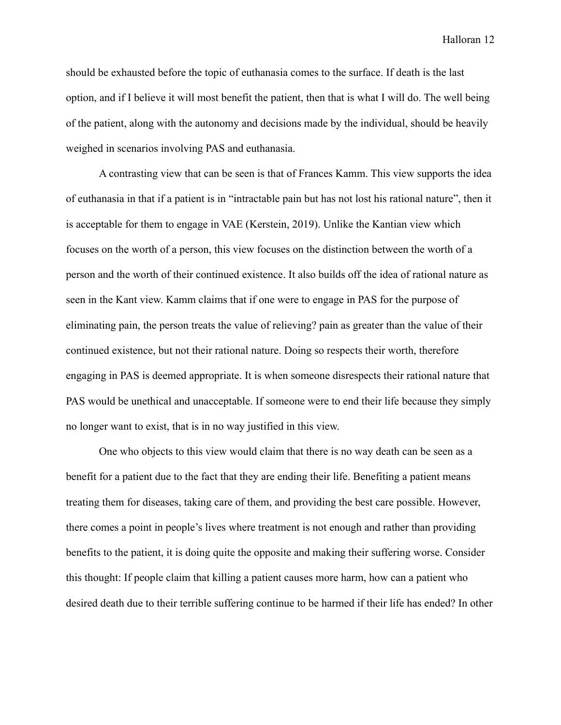should be exhausted before the topic of euthanasia comes to the surface. If death is the last option, and if I believe it will most benefit the patient, then that is what I will do. The well being of the patient, along with the autonomy and decisions made by the individual, should be heavily weighed in scenarios involving PAS and euthanasia.

A contrasting view that can be seen is that of Frances Kamm. This view supports the idea of euthanasia in that if a patient is in "intractable pain but has not lost his rational nature", then it is acceptable for them to engage in VAE (Kerstein, 2019). Unlike the Kantian view which focuses on the worth of a person, this view focuses on the distinction between the worth of a person and the worth of their continued existence. It also builds off the idea of rational nature as seen in the Kant view. Kamm claims that if one were to engage in PAS for the purpose of eliminating pain, the person treats the value of relieving? pain as greater than the value of their continued existence, but not their rational nature. Doing so respects their worth, therefore engaging in PAS is deemed appropriate. It is when someone disrespects their rational nature that PAS would be unethical and unacceptable. If someone were to end their life because they simply no longer want to exist, that is in no way justified in this view.

One who objects to this view would claim that there is no way death can be seen as a benefit for a patient due to the fact that they are ending their life. Benefiting a patient means treating them for diseases, taking care of them, and providing the best care possible. However, there comes a point in people's lives where treatment is not enough and rather than providing benefits to the patient, it is doing quite the opposite and making their suffering worse. Consider this thought: If people claim that killing a patient causes more harm, how can a patient who desired death due to their terrible suffering continue to be harmed if their life has ended? In other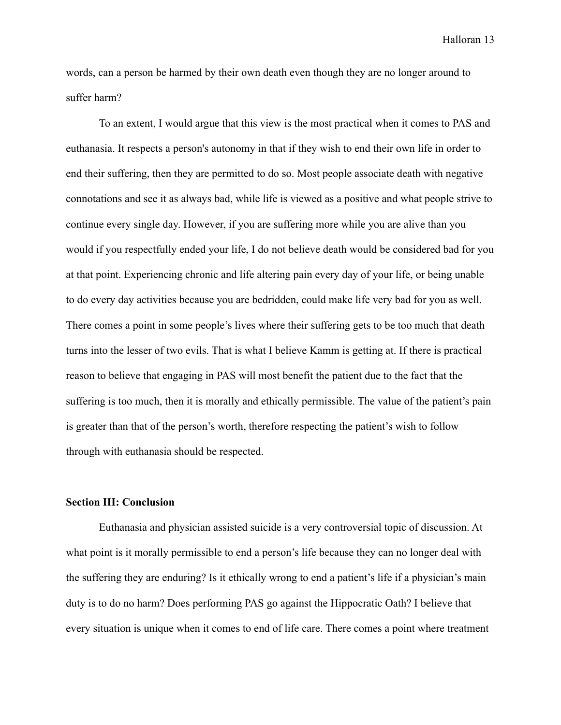words, can a person be harmed by their own death even though they are no longer around to suffer harm?

To an extent, I would argue that this view is the most practical when it comes to PAS and euthanasia. It respects a person's autonomy in that if they wish to end their own life in order to end their suffering, then they are permitted to do so. Most people associate death with negative connotations and see it as always bad, while life is viewed as a positive and what people strive to continue every single day. However, if you are suffering more while you are alive than you would if you respectfully ended your life, I do not believe death would be considered bad for you at that point. Experiencing chronic and life altering pain every day of your life, or being unable to do every day activities because you are bedridden, could make life very bad for you as well. There comes a point in some people's lives where their suffering gets to be too much that death turns into the lesser of two evils. That is what I believe Kamm is getting at. If there is practical reason to believe that engaging in PAS will most benefit the patient due to the fact that the suffering is too much, then it is morally and ethically permissible. The value of the patient's pain is greater than that of the person's worth, therefore respecting the patient's wish to follow through with euthanasia should be respected.

# **Section III: Conclusion**

Euthanasia and physician assisted suicide is a very controversial topic of discussion. At what point is it morally permissible to end a person's life because they can no longer deal with the suffering they are enduring? Is it ethically wrong to end a patient's life if a physician's main duty is to do no harm? Does performing PAS go against the Hippocratic Oath? I believe that every situation is unique when it comes to end of life care. There comes a point where treatment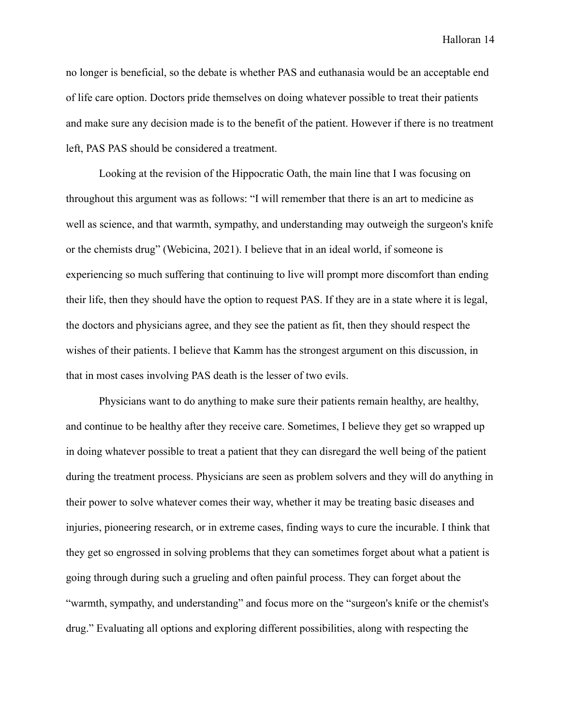no longer is beneficial, so the debate is whether PAS and euthanasia would be an acceptable end of life care option. Doctors pride themselves on doing whatever possible to treat their patients and make sure any decision made is to the benefit of the patient. However if there is no treatment left, PAS PAS should be considered a treatment.

Looking at the revision of the Hippocratic Oath, the main line that I was focusing on throughout this argument was as follows: "I will remember that there is an art to medicine as well as science, and that warmth, sympathy, and understanding may outweigh the surgeon's knife or the chemists drug" (Webicina, 2021). I believe that in an ideal world, if someone is experiencing so much suffering that continuing to live will prompt more discomfort than ending their life, then they should have the option to request PAS. If they are in a state where it is legal, the doctors and physicians agree, and they see the patient as fit, then they should respect the wishes of their patients. I believe that Kamm has the strongest argument on this discussion, in that in most cases involving PAS death is the lesser of two evils.

Physicians want to do anything to make sure their patients remain healthy, are healthy, and continue to be healthy after they receive care. Sometimes, I believe they get so wrapped up in doing whatever possible to treat a patient that they can disregard the well being of the patient during the treatment process. Physicians are seen as problem solvers and they will do anything in their power to solve whatever comes their way, whether it may be treating basic diseases and injuries, pioneering research, or in extreme cases, finding ways to cure the incurable. I think that they get so engrossed in solving problems that they can sometimes forget about what a patient is going through during such a grueling and often painful process. They can forget about the "warmth, sympathy, and understanding" and focus more on the "surgeon's knife or the chemist's drug." Evaluating all options and exploring different possibilities, along with respecting the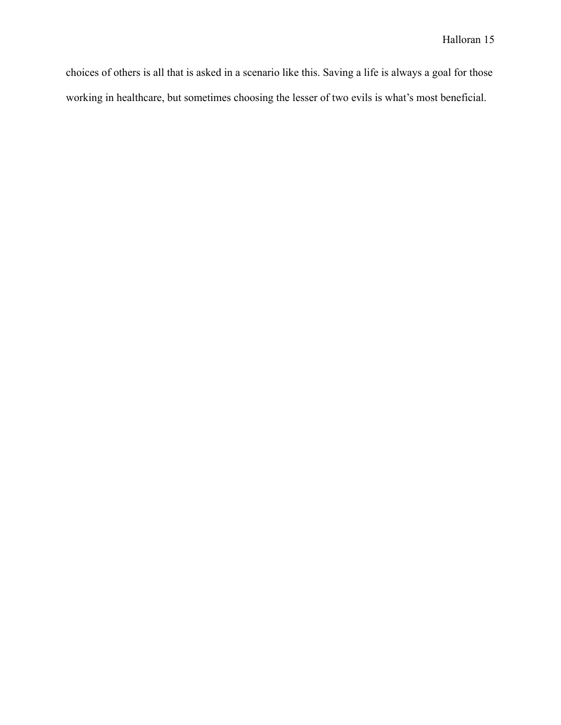choices of others is all that is asked in a scenario like this. Saving a life is always a goal for those working in healthcare, but sometimes choosing the lesser of two evils is what's most beneficial.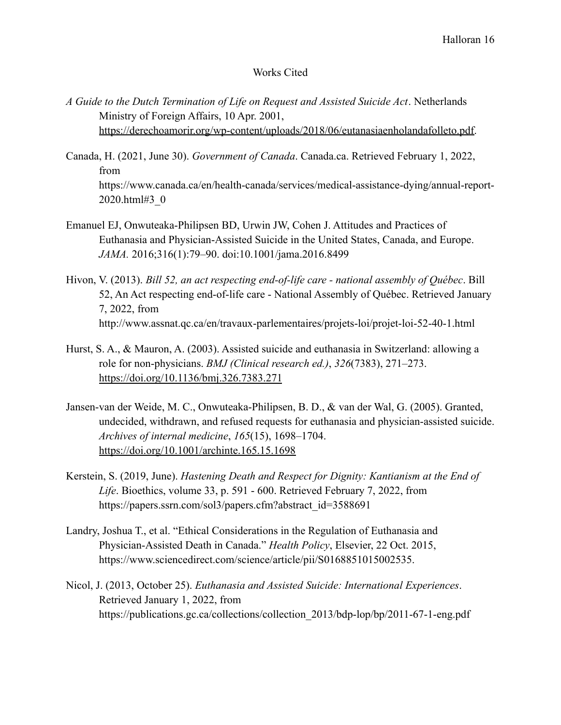# Works Cited

- *A Guide to the Dutch Termination of Life on Request and Assisted Suicide Act*. Netherlands Ministry of Foreign Affairs, 10 Apr. 2001, [https://derechoamorir.org/wp-content/uploads/2018/06/eutanasiaenholandafolleto.pdf.](https://derechoamorir.org/wp-content/uploads/2018/06/eutanasiaenholandafolleto.pdf)
- Canada, H. (2021, June 30). *Government of Canada*. Canada.ca. Retrieved February 1, 2022, from https://www.canada.ca/en/health-canada/services/medical-assistance-dying/annual-report-2020.html#3\_0
- Emanuel EJ, Onwuteaka-Philipsen BD, Urwin JW, Cohen J. Attitudes and Practices of Euthanasia and Physician-Assisted Suicide in the United States, Canada, and Europe. *JAMA.* 2016;316(1):79–90. doi:10.1001/jama.2016.8499
- Hivon, V. (2013). *Bill 52, an act respecting end-of-life care national assembly of Québec*. Bill 52, An Act respecting end-of-life care - National Assembly of Québec. Retrieved January 7, 2022, from http://www.assnat.qc.ca/en/travaux-parlementaires/projets-loi/projet-loi-52-40-1.html
- Hurst, S. A., & Mauron, A. (2003). Assisted suicide and euthanasia in Switzerland: allowing a role for non-physicians. *BMJ (Clinical research ed.)*, *326*(7383), 271–273. <https://doi.org/10.1136/bmj.326.7383.271>
- Jansen-van der Weide, M. C., Onwuteaka-Philipsen, B. D., & van der Wal, G. (2005). Granted, undecided, withdrawn, and refused requests for euthanasia and physician-assisted suicide. *Archives of internal medicine*, *165*(15), 1698–1704. <https://doi.org/10.1001/archinte.165.15.1698>
- Kerstein, S. (2019, June). *Hastening Death and Respect for Dignity: Kantianism at the End of Life*. Bioethics, volume 33, p. 591 - 600. Retrieved February 7, 2022, from https://papers.ssrn.com/sol3/papers.cfm?abstract\_id=3588691
- Landry, Joshua T., et al. "Ethical Considerations in the Regulation of Euthanasia and Physician-Assisted Death in Canada." *Health Policy*, Elsevier, 22 Oct. 2015, https://www.sciencedirect.com/science/article/pii/S0168851015002535.
- Nicol, J. (2013, October 25). *Euthanasia and Assisted Suicide: International Experiences*. Retrieved January 1, 2022, from https://publications.gc.ca/collections/collection\_2013/bdp-lop/bp/2011-67-1-eng.pdf